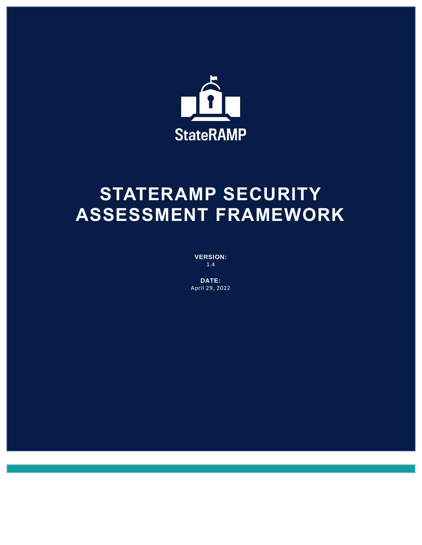

# **STATERAMP SECURITY ASSESSMENT FRAMEWORK**

**VERSION:** 1.4

**DATE:** April 29, 2022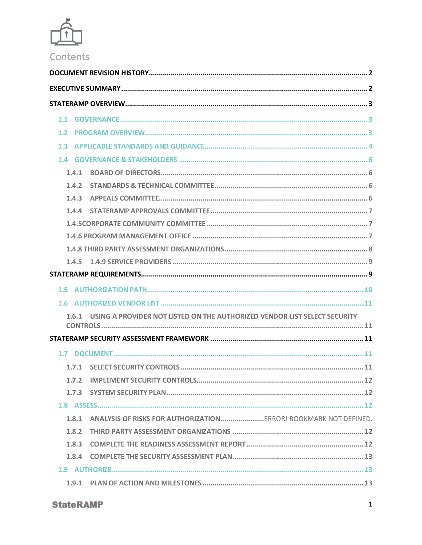

| 1.1 |       |                                                                           |  |  |
|-----|-------|---------------------------------------------------------------------------|--|--|
| 1.2 |       |                                                                           |  |  |
| 1.3 |       |                                                                           |  |  |
|     |       |                                                                           |  |  |
|     | 1.4.1 |                                                                           |  |  |
|     | 1.4.2 |                                                                           |  |  |
|     | 1.4.3 |                                                                           |  |  |
|     | 1.4.4 |                                                                           |  |  |
|     |       |                                                                           |  |  |
|     |       |                                                                           |  |  |
|     |       |                                                                           |  |  |
|     | 1.4.5 |                                                                           |  |  |
|     |       |                                                                           |  |  |
| 1.5 |       |                                                                           |  |  |
| 1.6 |       |                                                                           |  |  |
|     | 1.6.1 | USING A PROVIDER NOT LISTED ON THE AUTHORIZED VENDOR LIST SELECT SECURITY |  |  |
|     |       |                                                                           |  |  |
|     |       |                                                                           |  |  |
| 1.7 |       |                                                                           |  |  |
|     | 1.7.1 |                                                                           |  |  |
|     | 1.7.2 |                                                                           |  |  |
|     | 1.7.3 |                                                                           |  |  |
|     |       |                                                                           |  |  |
|     | 1.8.1 |                                                                           |  |  |
|     | 1.8.2 |                                                                           |  |  |
|     | 1.8.3 |                                                                           |  |  |
|     | 1.8.4 |                                                                           |  |  |
|     |       |                                                                           |  |  |
|     |       |                                                                           |  |  |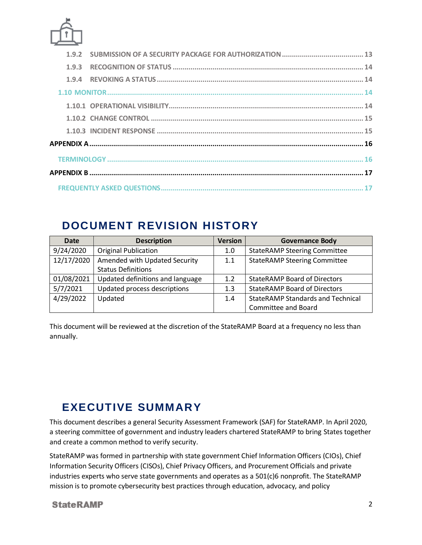

# <span id="page-2-0"></span>**DOCUMENT REVISION HISTORY**

| <b>Date</b> | <b>Description</b>               | <b>Version</b> | <b>Governance Body</b>                   |
|-------------|----------------------------------|----------------|------------------------------------------|
| 9/24/2020   | <b>Original Publication</b>      | 1.0            | <b>StateRAMP Steering Committee</b>      |
| 12/17/2020  | Amended with Updated Security    | 1.1            | <b>StateRAMP Steering Committee</b>      |
|             | <b>Status Definitions</b>        |                |                                          |
| 01/08/2021  | Updated definitions and language | 1.2            | <b>StateRAMP Board of Directors</b>      |
| 5/7/2021    | Updated process descriptions     | 1.3            | <b>StateRAMP Board of Directors</b>      |
| 4/29/2022   | Updated                          | 1.4            | <b>StateRAMP Standards and Technical</b> |
|             |                                  |                | <b>Committee and Board</b>               |

This document will be reviewed at the discretion of the StateRAMP Board at a frequency no less than annually.

# <span id="page-2-1"></span>**EXECUTIVE SUMMARY**

This document describes a general Security Assessment Framework (SAF) for StateRAMP. In April 2020, a steering committee of government and industry leaders chartered StateRAMP to bring States together and create a common method to verify security.

StateRAMP was formed in partnership with state government Chief Information Officers (CIOs), Chief Information Security Officers (CISOs), Chief Privacy Officers, and Procurement Officials and private industries experts who serve state governments and operates as a 501(c)6 nonprofit. The StateRAMP mission is to promote cybersecurity best practices through education, advocacy, and policy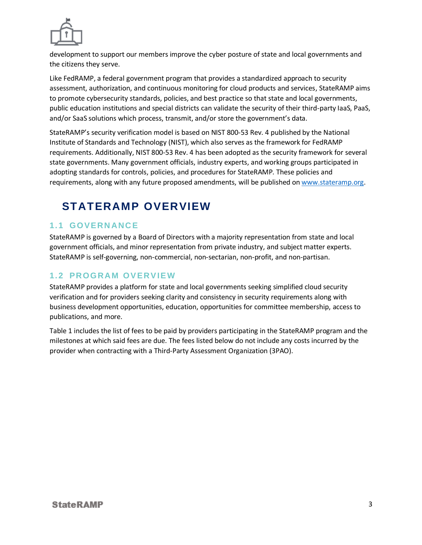

development to support our members improve the cyber posture of state and local governments and the citizens they serve.

Like FedRAMP, a federal government program that provides a standardized approach to security assessment, authorization, and continuous monitoring for cloud products and services, StateRAMP aims to promote cybersecurity standards, policies, and best practice so that state and local governments, public education institutions and special districts can validate the security of their third-party IaaS, PaaS, and/or SaaS solutions which process, transmit, and/or store the government's data.

StateRAMP's security verification model is based on NIST 800-53 Rev. 4 published by the National Institute of Standards and Technology (NIST), which also serves as the framework for FedRAMP requirements. Additionally, NIST 800-53 Rev. 4 has been adopted as the security framework for several state governments. Many government officials, industry experts, and working groups participated in adopting standards for controls, policies, and procedures for StateRAMP. These policies and requirements, along with any future proposed amendments, will be published o[n www.stateramp.org.](http://www.stateramp.org/)

# <span id="page-3-0"></span>**STATERAMP OVERVIEW**

# <span id="page-3-1"></span>**1. 1 GOVERN ANC E**

StateRAMP is governed by a Board of Directors with a majority representation from state and local government officials, and minor representation from private industry, and subject matter experts. StateRAMP is self-governing, non-commercial, non-sectarian, non-profit, and non-partisan.

# <span id="page-3-2"></span>**1. 2 PROGRAM OV ERV IE W**

StateRAMP provides a platform for state and local governments seeking simplified cloud security verification and for providers seeking clarity and consistency in security requirements along with business development opportunities, education, opportunities for committee membership, access to publications, and more.

Table 1 includes the list of fees to be paid by providers participating in the StateRAMP program and the milestones at which said fees are due. The fees listed below do not include any costs incurred by the provider when contracting with a Third-Party Assessment Organization (3PAO).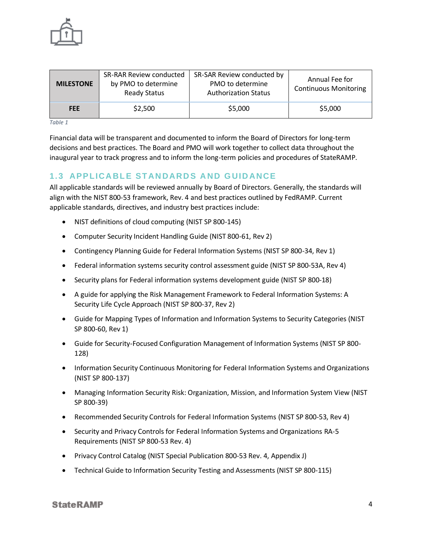

| <b>MILESTONE</b> | <b>SR-RAR Review conducted</b><br>by PMO to determine<br><b>Ready Status</b> | SR-SAR Review conducted by<br>PMO to determine<br><b>Authorization Status</b> | Annual Fee for<br><b>Continuous Monitoring</b> |
|------------------|------------------------------------------------------------------------------|-------------------------------------------------------------------------------|------------------------------------------------|
| <b>FEE</b>       | \$2,500                                                                      | \$5,000                                                                       | \$5,000                                        |

*Table 1*

Financial data will be transparent and documented to inform the Board of Directors for long-term decisions and best practices. The Board and PMO will work together to collect data throughout the inaugural year to track progress and to inform the long-term policies and procedures of StateRAMP.

# <span id="page-4-0"></span>**1. 3 APP LICA BL E ST AN DARD S A ND G UID ANCE**

All applicable standards will be reviewed annually by Board of Directors. Generally, the standards will align with the NIST 800-53 framework, Rev. 4 and best practices outlined by FedRAMP. Current applicable standards, directives, and industry best practices include:

- NIST definitions of cloud computing (NIST SP 800-145)
- Computer Security Incident Handling Guide (NIST 800-61, Rev 2)
- Contingency Planning Guide for Federal Information Systems (NIST SP 800-34, Rev 1)
- Federal information systems security control assessment guide (NIST SP 800-53A, Rev 4)
- Security plans for Federal information systems development guide (NIST SP 800-18)
- A guide for applying the Risk Management Framework to Federal Information Systems: A Security Life Cycle Approach (NIST SP 800-37, Rev 2)
- Guide for Mapping Types of Information and Information Systems to Security Categories (NIST SP 800-60, Rev 1)
- Guide for Security-Focused Configuration Management of Information Systems (NIST SP 800- 128)
- Information Security Continuous Monitoring for Federal Information Systems and Organizations (NIST SP 800-137)
- Managing Information Security Risk: Organization, Mission, and Information System View (NIST SP 800-39)
- Recommended Security Controls for Federal Information Systems (NIST SP 800-53, Rev 4)
- Security and Privacy Controls for Federal Information Systems and Organizations RA-5 Requirements (NIST SP 800-53 Rev. 4)
- Privacy Control Catalog (NIST Special Publication 800-53 Rev. 4, Appendix J)
- Technical Guide to Information Security Testing and Assessments (NIST SP 800-115)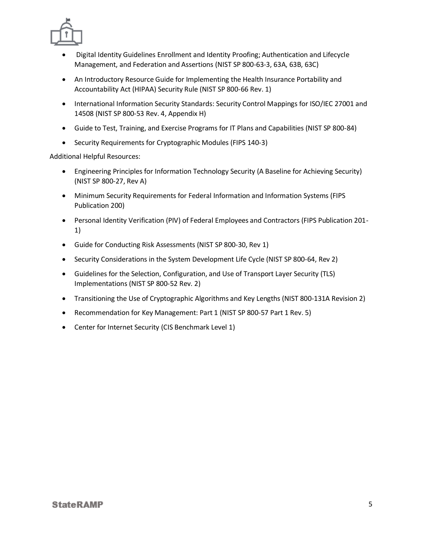

- Digital Identity Guidelines Enrollment and Identity Proofing; Authentication and Lifecycle Management, and Federation and Assertions (NIST SP 800-63-3, 63A, 63B, 63C)
- An Introductory Resource Guide for Implementing the Health Insurance Portability and Accountability Act (HIPAA) Security Rule (NIST SP 800-66 Rev. 1)
- International Information Security Standards: Security Control Mappings for ISO/IEC 27001 and 14508 (NIST SP 800-53 Rev. 4, Appendix H)
- Guide to Test, Training, and Exercise Programs for IT Plans and Capabilities (NIST SP 800-84)
- Security Requirements for Cryptographic Modules (FIPS 140-3)

Additional Helpful Resources:

- Engineering Principles for Information Technology Security (A Baseline for Achieving Security) (NIST SP 800-27, Rev A)
- Minimum Security Requirements for Federal Information and Information Systems (FIPS Publication 200)
- Personal Identity Verification (PIV) of Federal Employees and Contractors (FIPS Publication 201- 1)
- Guide for Conducting Risk Assessments (NIST SP 800-30, Rev 1)
- Security Considerations in the System Development Life Cycle (NIST SP 800-64, Rev 2)
- Guidelines for the Selection, Configuration, and Use of Transport Layer Security (TLS) Implementations (NIST SP 800-52 Rev. 2)
- Transitioning the Use of Cryptographic Algorithms and Key Lengths (NIST 800-131A Revision 2)
- Recommendation for Key Management: Part 1 (NIST SP 800-57 Part 1 Rev. 5)
- Center for Internet Security (CIS Benchmark Level 1)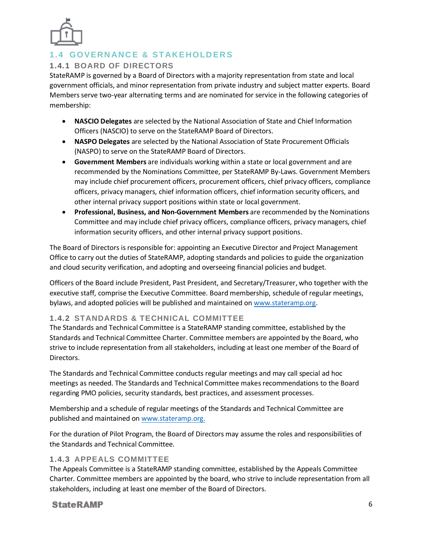

# <span id="page-6-0"></span>**1. 4 GOVERN ANC E & ST AKE HOLD ER S**

#### <span id="page-6-1"></span>**1.4.1 BOARD OF DIRECTORS**

StateRAMP is governed by a Board of Directors with a majority representation from state and local government officials, and minor representation from private industry and subject matter experts. Board Members serve two-year alternating terms and are nominated for service in the following categories of membership:

- **NASCIO Delegates** are selected by the National Association of State and Chief Information Officers (NASCIO) to serve on the StateRAMP Board of Directors.
- **NASPO Delegates** are selected by the National Association of State Procurement Officials (NASPO) to serve on the StateRAMP Board of Directors.
- **Government Members** are individuals working within a state or local government and are recommended by the Nominations Committee, per StateRAMP By-Laws. Government Members may include chief procurement officers, procurement officers, chief privacy officers, compliance officers, privacy managers, chief information officers, chief information security officers, and other internal privacy support positions within state or local government.
- **Professional, Business, and Non-Government Members** are recommended by the Nominations Committee and may include chief privacy officers, compliance officers, privacy managers, chief information security officers, and other internal privacy support positions.

The Board of Directors is responsible for: appointing an Executive Director and Project Management Office to carry out the duties of StateRAMP, adopting standards and policies to guide the organization and cloud security verification, and adopting and overseeing financial policies and budget.

Officers of the Board include President, Past President, and Secretary/Treasurer, who together with the executive staff, comprise the Executive Committee. Board membership, schedule of regular meetings, bylaws, and adopted policies will be published and maintained on [www.stateramp.org.](http://www.stateramp.org/)

#### <span id="page-6-2"></span>**1.4.2 STANDARDS & TECHNICAL COMMITTEE**

The Standards and Technical Committee is a StateRAMP standing committee, established by the Standards and Technical Committee Charter. Committee members are appointed by the Board, who strive to include representation from all stakeholders, including at least one member of the Board of Directors.

The Standards and Technical Committee conducts regular meetings and may call special ad hoc meetings as needed. The Standards and Technical Committee makesrecommendations to the Board regarding PMO policies, security standards, best practices, and assessment processes.

Membership and a schedule of regular meetings of the Standards and Technical Committee are published and maintained on [www.stateramp.org.](http://www.stateramp.org/)

For the duration of Pilot Program, the Board of Directors may assume the roles and responsibilities of the Standards and Technical Committee.

#### <span id="page-6-3"></span>**1.4.3 APPEALS COMMITTEE**

The Appeals Committee is a StateRAMP standing committee, established by the Appeals Committee Charter. Committee members are appointed by the board, who strive to include representation from all stakeholders, including at least one member of the Board of Directors.

### **StateRAMP**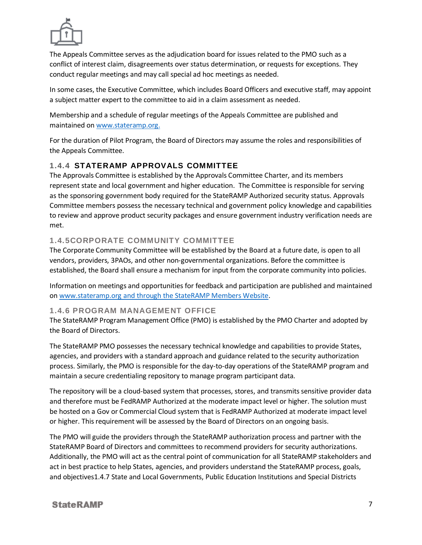

The Appeals Committee serves as the adjudication board for issues related to the PMO such as a conflict of interest claim, disagreements over status determination, or requests for exceptions. They conduct regular meetings and may call special ad hoc meetings as needed.

In some cases, the Executive Committee, which includes Board Officers and executive staff, may appoint a subject matter expert to the committee to aid in a claim assessment as needed.

Membership and a schedule of regular meetings of the Appeals Committee are published and maintained o[n www.stateramp.org.](http://www.stateramp.org/)

For the duration of Pilot Program, the Board of Directors may assume the roles and responsibilities of the Appeals Committee.

#### <span id="page-7-0"></span>**1.4.4 STATERAMP APPROVALS COMMITTEE**

The Approvals Committee is established by the Approvals Committee Charter, and its members represent state and local government and higher education. The Committee is responsible for serving as the sponsoring government body required for the StateRAMP Authorized security status. Approvals Committee members possess the necessary technical and government policy knowledge and capabilities to review and approve product security packages and ensure government industry verification needs are met.

#### <span id="page-7-1"></span>**1.4.5CORPORATE COMMUNITY COMMITTEE**

The Corporate Community Committee will be established by the Board at a future date, is open to all vendors, providers, 3PAOs, and other non-governmental organizations. Before the committee is established, the Board shall ensure a mechanism for input from the corporate community into policies.

Information on meetings and opportunities for feedback and participation are published and maintained on [www.stateramp.org](http://www.stateramp.org/) and through the StateRAMP Members Website.

#### <span id="page-7-2"></span>**1.4.6 PROGRAM MANAGEMENT OFFICE**

The StateRAMP Program Management Office (PMO) is established by the PMO Charter and adopted by the Board of Directors.

The StateRAMP PMO possesses the necessary technical knowledge and capabilities to provide States, agencies, and providers with a standard approach and guidance related to the security authorization process. Similarly, the PMO is responsible for the day-to-day operations of the StateRAMP program and maintain a secure credentialing repository to manage program participant data.

The repository will be a cloud-based system that processes, stores, and transmits sensitive provider data and therefore must be FedRAMP Authorized at the moderate impact level or higher. The solution must be hosted on a Gov or Commercial Cloud system that is FedRAMP Authorized at moderate impact level or higher. This requirement will be assessed by the Board of Directors on an ongoing basis.

The PMO will guide the providers through the StateRAMP authorization process and partner with the StateRAMP Board of Directors and committees to recommend providers for security authorizations. Additionally, the PMO will act as the central point of communication for all StateRAMP stakeholders and act in best practice to help States, agencies, and providers understand the StateRAMP process, goals, and objectives1.4.7 State and Local Governments, Public Education Institutions and Special Districts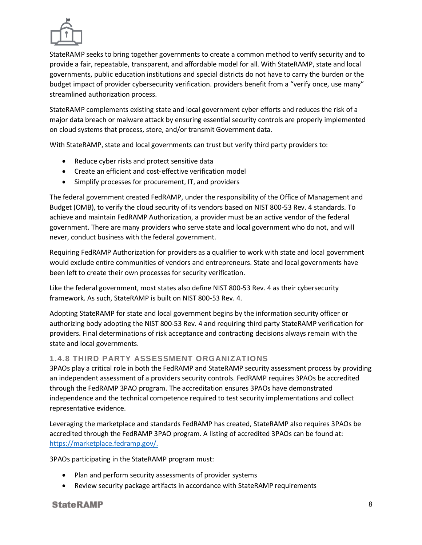

StateRAMP seeks to bring together governments to create a common method to verify security and to provide a fair, repeatable, transparent, and affordable model for all. With StateRAMP, state and local governments, public education institutions and special districts do not have to carry the burden or the budget impact of provider cybersecurity verification. providers benefit from a "verify once, use many" streamlined authorization process.

StateRAMP complements existing state and local government cyber efforts and reduces the risk of a major data breach or malware attack by ensuring essential security controls are properly implemented on cloud systems that process, store, and/or transmit Government data.

With StateRAMP, state and local governments can trust but verify third party providers to:

- Reduce cyber risks and protect sensitive data
- Create an efficient and cost-effective verification model
- Simplify processes for procurement, IT, and providers

The federal government created FedRAMP, under the responsibility of the Office of Management and Budget (OMB), to verify the cloud security of its vendors based on NIST 800-53 Rev. 4 standards. To achieve and maintain FedRAMP Authorization, a provider must be an active vendor of the federal government. There are many providers who serve state and local government who do not, and will never, conduct business with the federal government.

Requiring FedRAMP Authorization for providers as a qualifier to work with state and local government would exclude entire communities of vendors and entrepreneurs. State and local governments have been left to create their own processes for security verification.

Like the federal government, most states also define NIST 800-53 Rev. 4 as their cybersecurity framework. As such, StateRAMP is built on NIST 800-53 Rev. 4.

Adopting StateRAMP for state and local government begins by the information security officer or authorizing body adopting the NIST 800-53 Rev. 4 and requiring third party StateRAMP verification for providers. Final determinations of risk acceptance and contracting decisions always remain with the state and local governments.

#### <span id="page-8-0"></span>**1.4.8 THIRD PARTY ASSESSMENT ORGANIZATIONS**

3PAOs play a critical role in both the FedRAMP and StateRAMP security assessment process by providing an independent assessment of a providers security controls. FedRAMP requires 3PAOs be accredited through the FedRAMP 3PAO program. The accreditation ensures 3PAOs have demonstrated independence and the technical competence required to test security implementations and collect representative evidence.

Leveraging the marketplace and standards FedRAMP has created, StateRAMP also requires 3PAOs be accredited through the FedRAMP 3PAO program. A listing of accredited 3PAOs can be found at: [https://marketplace.fedramp.gov/.](https://marketplace.fedramp.gov/)

3PAOs participating in the StateRAMP program must:

- Plan and perform security assessments of provider systems
- Review security package artifacts in accordance with StateRAMP requirements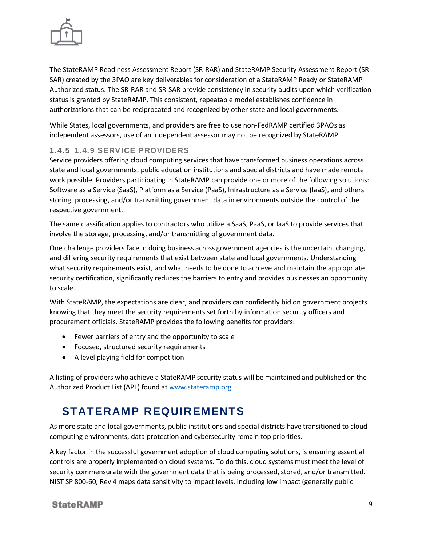

The StateRAMP Readiness Assessment Report (SR-RAR) and StateRAMP Security Assessment Report (SR-SAR) created by the 3PAO are key deliverables for consideration of a StateRAMP Ready or StateRAMP Authorized status. The SR-RAR and SR-SAR provide consistency in security audits upon which verification status is granted by StateRAMP. This consistent, repeatable model establishes confidence in authorizations that can be reciprocated and recognized by other state and local governments.

While States, local governments, and providers are free to use non-FedRAMP certified 3PAOs as independent assessors, use of an independent assessor may not be recognized by StateRAMP.

#### <span id="page-9-0"></span>**1.4.5 1.4.9 SERVICE PROVIDERS**

Service providers offering cloud computing services that have transformed business operations across state and local governments, public education institutions and special districts and have made remote work possible. Providers participating in StateRAMP can provide one or more of the following solutions: Software as a Service (SaaS), Platform as a Service (PaaS), Infrastructure as a Service (IaaS), and others storing, processing, and/or transmitting government data in environments outside the control of the respective government.

The same classification applies to contractors who utilize a SaaS, PaaS, or IaaS to provide services that involve the storage, processing, and/or transmitting of government data.

One challenge providers face in doing business across government agencies is the uncertain, changing, and differing security requirements that exist between state and local governments. Understanding what security requirements exist, and what needs to be done to achieve and maintain the appropriate security certification, significantly reduces the barriers to entry and provides businesses an opportunity to scale.

With StateRAMP, the expectations are clear, and providers can confidently bid on government projects knowing that they meet the security requirements set forth by information security officers and procurement officials. StateRAMP provides the following benefits for providers:

- Fewer barriers of entry and the opportunity to scale
- Focused, structured security requirements
- A level playing field for competition

A listing of providers who achieve a StateRAMP security status will be maintained and published on the Authorized Product List (APL) found a[t www.stateramp.org.](http://www.stateramp.org/)

# <span id="page-9-1"></span>**STATERAMP REQUIREMENTS**

As more state and local governments, public institutions and special districts have transitioned to cloud computing environments, data protection and cybersecurity remain top priorities.

A key factor in the successful government adoption of cloud computing solutions, is ensuring essential controls are properly implemented on cloud systems. To do this, cloud systems must meet the level of security commensurate with the government data that is being processed, stored, and/or transmitted. NIST SP 800-60, Rev 4 maps data sensitivity to impact levels, including low impact (generally public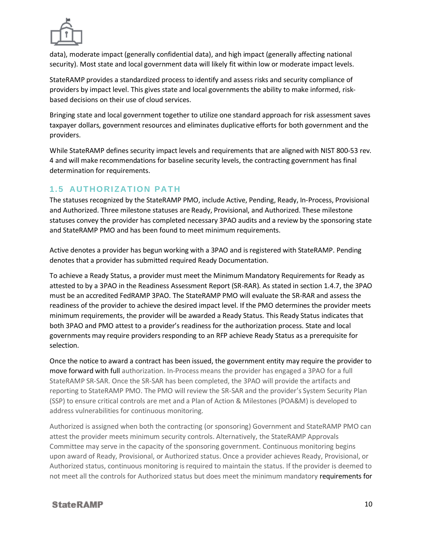

data), moderate impact (generally confidential data), and high impact (generally affecting national security). Most state and local government data will likely fit within low or moderate impact levels.

StateRAMP provides a standardized process to identify and assess risks and security compliance of providers by impact level. This gives state and local governments the ability to make informed, riskbased decisions on their use of cloud services.

Bringing state and local government together to utilize one standard approach for risk assessment saves taxpayer dollars, government resources and eliminates duplicative efforts for both government and the providers.

While StateRAMP defines security impact levels and requirements that are aligned with NIST 800-53 rev. 4 and will make recommendations for baseline security levels, the contracting government has final determination for requirements.

# <span id="page-10-0"></span>**1.5 AUTHORIZATION PATH**

The statuses recognized by the StateRAMP PMO, include Active, Pending, Ready, In-Process, Provisional and Authorized. Three milestone statuses are Ready, Provisional, and Authorized. These milestone statuses convey the provider has completed necessary 3PAO audits and a review by the sponsoring state and StateRAMP PMO and has been found to meet minimum requirements.

Active denotes a provider has begun working with a 3PAO and is registered with StateRAMP. Pending denotes that a provider has submitted required Ready Documentation.

To achieve a Ready Status, a provider must meet the Minimum Mandatory Requirements for Ready as attested to by a 3PAO in the Readiness Assessment Report (SR-RAR). As stated in section 1.4.7, the 3PAO must be an accredited FedRAMP 3PAO. The StateRAMP PMO will evaluate the SR-RAR and assess the readiness of the provider to achieve the desired impact level. If the PMO determines the provider meets minimum requirements, the provider will be awarded a Ready Status. This Ready Status indicates that both 3PAO and PMO attest to a provider's readiness for the authorization process. State and local governments may require providers responding to an RFP achieve Ready Status as a prerequisite for selection.

Once the notice to award a contract has been issued, the government entity may require the provider to move forward with full authorization. In-Process means the provider has engaged a 3PAO for a full StateRAMP SR-SAR. Once the SR-SAR has been completed, the 3PAO will provide the artifacts and reporting to StateRAMP PMO. The PMO will review the SR-SAR and the provider's System Security Plan (SSP) to ensure critical controls are met and a Plan of Action & Milestones (POA&M) is developed to address vulnerabilities for continuous monitoring.

Authorized is assigned when both the contracting (or sponsoring) Government and StateRAMP PMO can attest the provider meets minimum security controls. Alternatively, the StateRAMP Approvals Committee may serve in the capacity of the sponsoring government. Continuous monitoring begins upon award of Ready, Provisional, or Authorized status. Once a provider achieves Ready, Provisional, or Authorized status, continuous monitoring is required to maintain the status. If the provider is deemed to not meet all the controls for Authorized status but does meet the minimum mandatory requirements for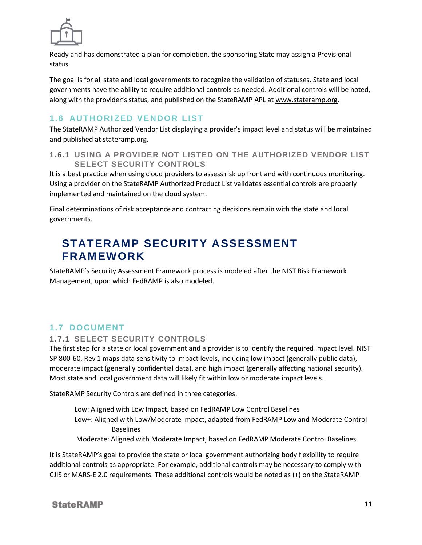

Ready and has demonstrated a plan for completion, the sponsoring State may assign a Provisional status.

The goal is for all state and local governments to recognize the validation of statuses. State and local governments have the ability to require additional controls as needed. Additional controls will be noted, along with the provider'sstatus, and published on the StateRAMP APL at [www.stateramp.org.](http://www.stateramp.org/)

## <span id="page-11-0"></span>**1.6 AUTHORIZED VENDOR LIST**

The StateRAMP Authorized Vendor List displaying a provider's impact level and status will be maintained and published at stateramp.org.

<span id="page-11-1"></span>**1.6.1 USING A PROVIDER NOT LISTED ON THE AUTHORIZED VENDOR LIST SELECT SECURITY CONTROLS**

It is a best practice when using cloud providers to assess risk up front and with continuous monitoring. Using a provider on the StateRAMP Authorized Product List validates essential controls are properly implemented and maintained on the cloud system.

Final determinations of risk acceptance and contracting decisions remain with the state and local governments.

# <span id="page-11-2"></span>**STATERAMP SECURITY ASSESSMENT FRAMEWORK**

StateRAMP's Security Assessment Framework process is modeled after the NIST Risk Framework Management, upon which FedRAMP is also modeled.

### <span id="page-11-3"></span>**1. 7 DOCUMENT**

#### <span id="page-11-4"></span>**1.7.1 SELECT SECURITY CONTROLS**

The first step for a state or local government and a provider is to identify the required impact level. NIST SP 800-60, Rev 1 maps data sensitivity to impact levels, including low impact (generally public data), moderate impact (generally confidential data), and high impact (generally affecting national security). Most state and local government data will likely fit within low or moderate impact levels.

StateRAMP Security Controls are defined in three categories:

Low: Aligned with Low Impact, based on FedRAMP Low Control Baselines Low+: Aligned with Low/Moderate Impact, adapted from FedRAMP Low and Moderate Control Baselines Moderate: Aligned with Moderate Impact, based on FedRAMP Moderate Control Baselines

It is StateRAMP's goal to provide the state or local government authorizing body flexibility to require additional controls as appropriate. For example, additional controls may be necessary to comply with CJIS or MARS-E 2.0 requirements. These additional controls would be noted as (+) on the StateRAMP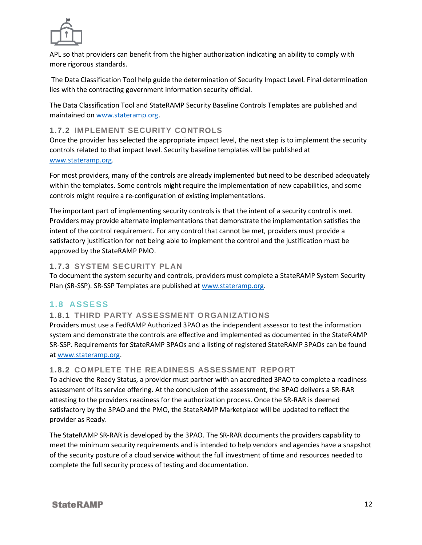

APL so that providers can benefit from the higher authorization indicating an ability to comply with more rigorous standards.

The Data Classification Tool help guide the determination of Security Impact Level. Final determination lies with the contracting government information security official.

The Data Classification Tool and StateRAMP Security Baseline Controls Templates are published and maintained o[n www.stateramp.org.](http://www.stateramp.org/)

#### <span id="page-12-0"></span>**1.7.2 IMPLEMENT SECURITY CONTROLS**

Once the provider has selected the appropriate impact level, the next step is to implement the security controls related to that impact level. Security baseline templates will be published at [www.stateramp.org.](http://www.stateramp.org/)

For most providers, many of the controls are already implemented but need to be described adequately within the templates. Some controls might require the implementation of new capabilities, and some controls might require a re-configuration of existing implementations.

The important part of implementing security controls is that the intent of a security control is met. Providers may provide alternate implementations that demonstrate the implementation satisfies the intent of the control requirement. For any control that cannot be met, providers must provide a satisfactory justification for not being able to implement the control and the justification must be approved by the StateRAMP PMO.

#### <span id="page-12-1"></span>**1.7.3 SYSTEM SECURITY PLAN**

To document the system security and controls, providers must complete a StateRAMP System Security Plan (SR-SSP). SR-SSP Templates are published a[t www.stateramp.org.](http://www.stateramp.org/)

### <span id="page-12-2"></span>**1. 8 ASSE SS**

#### <span id="page-12-3"></span>**1.8.1 THIRD PARTY ASSESSMENT ORGANIZATIONS**

Providers must use a FedRAMP Authorized 3PAO as the independent assessor to test the information system and demonstrate the controls are effective and implemented as documented in the StateRAMP SR-SSP. Requirements for StateRAMP 3PAOs and a listing of registered StateRAMP 3PAOs can be found a[t www.stateramp.org.](http://www.stateramp.org/)

#### <span id="page-12-4"></span>**1.8.2 COMPLETE THE READINESS ASSESSMENT REPORT**

To achieve the Ready Status, a provider must partner with an accredited 3PAO to complete a readiness assessment of its service offering. At the conclusion of the assessment, the 3PAO delivers a SR-RAR attesting to the providers readiness for the authorization process. Once the SR-RAR is deemed satisfactory by the 3PAO and the PMO, the StateRAMP Marketplace will be updated to reflect the provider as Ready.

The StateRAMP SR-RAR is developed by the 3PAO. The SR-RAR documents the providers capability to meet the minimum security requirements and is intended to help vendors and agencies have a snapshot of the security posture of a cloud service without the full investment of time and resources needed to complete the full security process of testing and documentation.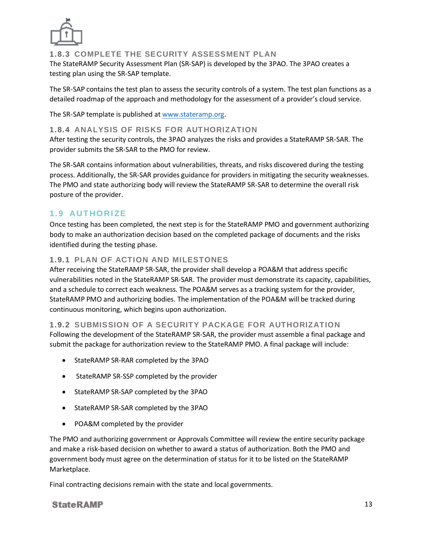

<span id="page-13-0"></span>**1.8.3 COMPLETE THE SECURITY ASSESSMENT PLAN**

The StateRAMP Security Assessment Plan (SR-SAP) is developed by the 3PAO. The 3PAO creates a testing plan using the SR-SAP template.

The SR-SAP contains the test plan to assess the security controls of a system. The test plan functions as a detailed roadmap of the approach and methodology for the assessment of a provider's cloud service.

The SR-SAP template is published a[t www.stateramp.org.](http://www.stateramp.org/)

#### **1.8.4 ANALYSIS OF RISKS FOR AUTHORIZATION**

After testing the security controls, the 3PAO analyzes the risks and provides a StateRAMP SR-SAR. The provider submits the SR-SAR to the PMO for review.

The SR-SAR contains information about vulnerabilities, threats, and risks discovered during the testing process. Additionally, the SR-SAR provides guidance for providers in mitigating the security weaknesses. The PMO and state authorizing body will review the StateRAMP SR-SAR to determine the overall risk posture of the provider.

### <span id="page-13-1"></span>**1. 9 AUT HORI ZE**

Once testing has been completed, the next step is for the StateRAMP PMO and government authorizing body to make an authorization decision based on the completed package of documents and the risks identified during the testing phase.

#### <span id="page-13-2"></span>**1.9.1 PLAN OF ACTION AND MILESTONES**

After receiving the StateRAMP SR-SAR, the provider shall develop a POA&M that address specific vulnerabilities noted in the StateRAMP SR-SAR. The provider must demonstrate its capacity, capabilities, and a schedule to correct each weakness. The POA&M serves as a tracking system for the provider, StateRAMP PMO and authorizing bodies. The implementation of the POA&M will be tracked during continuous monitoring, which begins upon authorization.

#### <span id="page-13-3"></span>**1.9.2 SUBMISSION OF A SECURITY PACKAGE FOR AUTHORIZATION**

Following the development of the StateRAMP SR-SAR, the provider must assemble a final package and submit the package for authorization review to the StateRAMP PMO. A final package will include:

- StateRAMP SR-RAR completed by the 3PAO
- StateRAMP SR-SSP completed by the provider
- StateRAMP SR-SAP completed by the 3PAO
- StateRAMP SR-SAR completed by the 3PAO
- POA&M completed by the provider

The PMO and authorizing government or Approvals Committee will review the entire security package and make a risk-based decision on whether to award a status of authorization. Both the PMO and government body must agree on the determination of status for it to be listed on the StateRAMP Marketplace.

Final contracting decisions remain with the state and local governments.

#### **StateRAMP**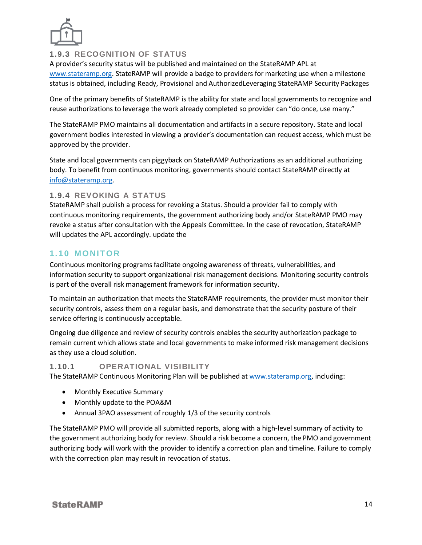

#### <span id="page-14-0"></span>**1.9.3 RECOGNITION OF STATUS**

A provider's security status will be published and maintained on the StateRAMP APL at [www.stateramp.org.](http://www.stateramp.org/) StateRAMP will provide a badge to providers for marketing use when a milestone status is obtained, including Ready, Provisional and AuthorizedLeveraging StateRAMP Security Packages

One of the primary benefits of StateRAMP is the ability for state and local governments to recognize and reuse authorizations to leverage the work already completed so provider can "do once, use many."

The StateRAMP PMO maintains all documentation and artifacts in a secure repository. State and local government bodies interested in viewing a provider's documentation can request access, which must be approved by the provider.

State and local governments can piggyback on StateRAMP Authorizations as an additional authorizing body. To benefit from continuous monitoring, governments should contact StateRAMP directly at [info@stateramp.org.](mailto:info@stateramp.org)

#### <span id="page-14-1"></span>**1.9.4 REVOKING A STATUS**

StateRAMP shall publish a process for revoking a Status. Should a provider fail to comply with continuous monitoring requirements, the government authorizing body and/or StateRAMP PMO may revoke a status after consultation with the Appeals Committee. In the case of revocation, StateRAMP will updates the APL accordingly. update the

#### <span id="page-14-2"></span>**1. 1 0 MONIT OR**

Continuous monitoring programs facilitate ongoing awareness of threats, vulnerabilities, and information security to support organizational risk management decisions. Monitoring security controls is part of the overall risk management framework for information security.

To maintain an authorization that meets the StateRAMP requirements, the provider must monitor their security controls, assess them on a regular basis, and demonstrate that the security posture of their service offering is continuously acceptable.

Ongoing due diligence and review of security controls enables the security authorization package to remain current which allows state and local governments to make informed risk management decisions as they use a cloud solution.

#### <span id="page-14-3"></span>**1.10.1 OPERATIONAL VISIBILITY**

The StateRAMP Continuous Monitoring Plan will be published a[t www.stateramp.org,](http://www.stateramp.org/) including:

- Monthly Executive Summary
- Monthly update to the POA&M
- Annual 3PAO assessment of roughly 1/3 of the security controls

The StateRAMP PMO will provide all submitted reports, along with a high-level summary of activity to the government authorizing body for review. Should a risk become a concern, the PMO and government authorizing body will work with the provider to identify a correction plan and timeline. Failure to comply with the correction plan may result in revocation of status.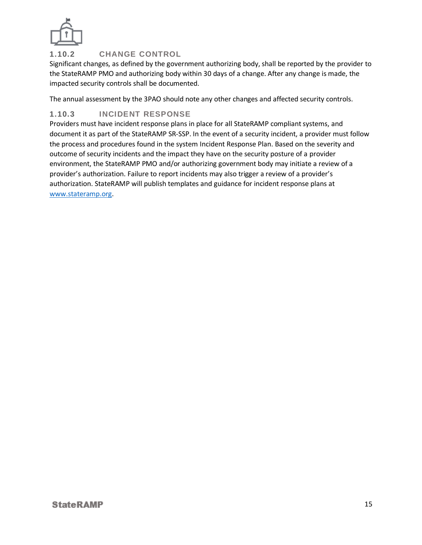

### <span id="page-15-0"></span>**1.10.2 CHANGE CONTROL**

Significant changes, as defined by the government authorizing body, shall be reported by the provider to the StateRAMP PMO and authorizing body within 30 days of a change. After any change is made, the impacted security controls shall be documented.

The annual assessment by the 3PAO should note any other changes and affected security controls.

### <span id="page-15-1"></span>**1.10.3 INCIDENT RESPONSE**

Providers must have incident response plans in place for all StateRAMP compliant systems, and document it as part of the StateRAMP SR-SSP. In the event of a security incident, a provider must follow the process and procedures found in the system Incident Response Plan. Based on the severity and outcome of security incidents and the impact they have on the security posture of a provider environment, the StateRAMP PMO and/or authorizing government body may initiate a review of a provider's authorization. Failure to report incidents may also trigger a review of a provider's authorization. StateRAMP will publish templates and guidance for incident response plans at [www.stateramp.org.](http://www.stateramp.org/)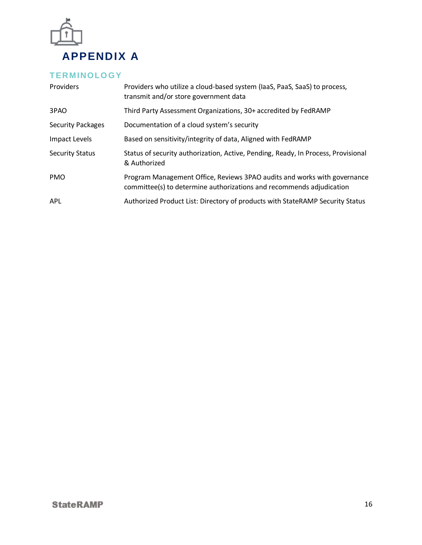

# <span id="page-16-1"></span><span id="page-16-0"></span>**T ERMINOLO GY**

| Providers                | Providers who utilize a cloud-based system (laaS, PaaS, SaaS) to process,<br>transmit and/or store government data                               |
|--------------------------|--------------------------------------------------------------------------------------------------------------------------------------------------|
| 3PAO                     | Third Party Assessment Organizations, 30+ accredited by FedRAMP                                                                                  |
| <b>Security Packages</b> | Documentation of a cloud system's security                                                                                                       |
| Impact Levels            | Based on sensitivity/integrity of data, Aligned with FedRAMP                                                                                     |
| <b>Security Status</b>   | Status of security authorization, Active, Pending, Ready, In Process, Provisional<br>& Authorized                                                |
| <b>PMO</b>               | Program Management Office, Reviews 3PAO audits and works with governance<br>committee(s) to determine authorizations and recommends adjudication |
| <b>APL</b>               | Authorized Product List: Directory of products with StateRAMP Security Status                                                                    |